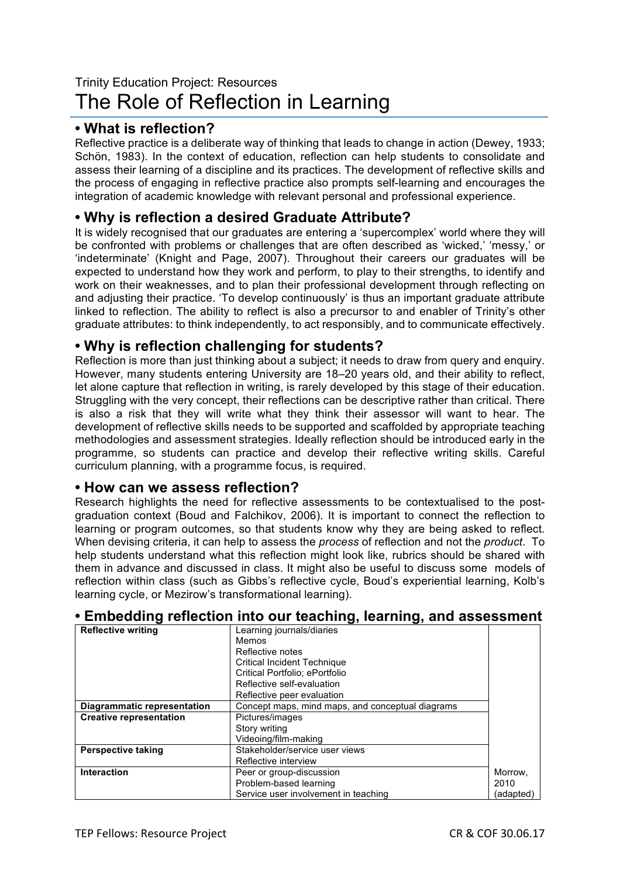# Trinity Education Project: Resources The Role of Reflection in Learning

## **• What is reflection?**

Reflective practice is a deliberate way of thinking that leads to change in action (Dewey, 1933; Schön, 1983). In the context of education, reflection can help students to consolidate and assess their learning of a discipline and its practices. The development of reflective skills and the process of engaging in reflective practice also prompts self-learning and encourages the integration of academic knowledge with relevant personal and professional experience.

### **• Why is reflection a desired Graduate Attribute?**

It is widely recognised that our graduates are entering a 'supercomplex' world where they will be confronted with problems or challenges that are often described as 'wicked,' 'messy,' or 'indeterminate' (Knight and Page, 2007). Throughout their careers our graduates will be expected to understand how they work and perform, to play to their strengths, to identify and work on their weaknesses, and to plan their professional development through reflecting on and adjusting their practice. 'To develop continuously' is thus an important graduate attribute linked to reflection. The ability to reflect is also a precursor to and enabler of Trinity's other graduate attributes: to think independently, to act responsibly, and to communicate effectively.

### **• Why is reflection challenging for students?**

Reflection is more than just thinking about a subject; it needs to draw from query and enquiry. However, many students entering University are 18–20 years old, and their ability to reflect, let alone capture that reflection in writing, is rarely developed by this stage of their education. Struggling with the very concept, their reflections can be descriptive rather than critical. There is also a risk that they will write what they think their assessor will want to hear. The development of reflective skills needs to be supported and scaffolded by appropriate teaching methodologies and assessment strategies. Ideally reflection should be introduced early in the programme, so students can practice and develop their reflective writing skills. Careful curriculum planning, with a programme focus, is required.

#### **• How can we assess reflection?**

Research highlights the need for reflective assessments to be contextualised to the postgraduation context (Boud and Falchikov, 2006). It is important to connect the reflection to learning or program outcomes, so that students know why they are being asked to reflect. When devising criteria, it can help to assess the *process* of reflection and not the *product*. To help students understand what this reflection might look like, rubrics should be shared with them in advance and discussed in class. It might also be useful to discuss some models of reflection within class (such as Gibbs's reflective cycle, Boud's experiential learning, Kolb's learning cycle, or Mezirow's transformational learning).

| <b>Reflective writing</b>      | Learning journals/diaries                        |           |
|--------------------------------|--------------------------------------------------|-----------|
|                                | Memos                                            |           |
|                                | Reflective notes                                 |           |
|                                | <b>Critical Incident Technique</b>               |           |
|                                | Critical Portfolio; ePortfolio                   |           |
|                                | Reflective self-evaluation                       |           |
|                                | Reflective peer evaluation                       |           |
| Diagrammatic representation    | Concept maps, mind maps, and conceptual diagrams |           |
| <b>Creative representation</b> | Pictures/images                                  |           |
|                                | Story writing                                    |           |
|                                | Videoing/film-making                             |           |
| <b>Perspective taking</b>      | Stakeholder/service user views                   |           |
|                                | Reflective interview                             |           |
| <b>Interaction</b>             | Peer or group-discussion                         | Morrow,   |
|                                | Problem-based learning                           | 2010      |
|                                | Service user involvement in teaching             | (adapted) |

#### **• Embedding reflection into our teaching, learning, and assessment**